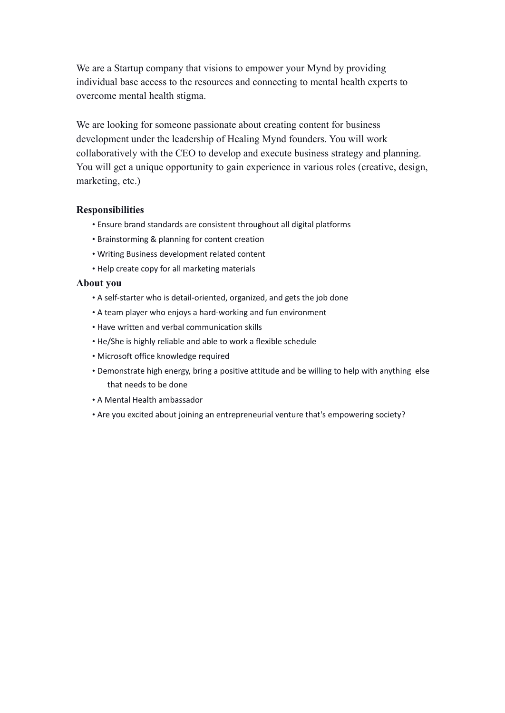We are a Startup company that visions to empower your Mynd by providing individual base access to the resources and connecting to mental health experts to overcome mental health stigma.

We are looking for someone passionate about creating content for business development under the leadership of Healing Mynd founders. You will work collaboratively with the CEO to develop and execute business strategy and planning. You will get a unique opportunity to gain experience in various roles (creative, design, marketing, etc.)

## **Responsibilities**

- Ensure brand standards are consistent throughout all digital platforms
- Brainstorming & planning for content creation
- Writing Business development related content
- Help create copy for all marketing materials

## **About you**

- A self-starter who is detail-oriented, organized, and gets the job done
- A team player who enjoys a hard-working and fun environment
- Have written and verbal communication skills
- He/She is highly reliable and able to work a flexible schedule
- Microsoft office knowledge required
- Demonstrate high energy, bring a positive attitude and be willing to help with anything else that needs to be done
- A Mental Health ambassador
- Are you excited about joining an entrepreneurial venture that's empowering society?